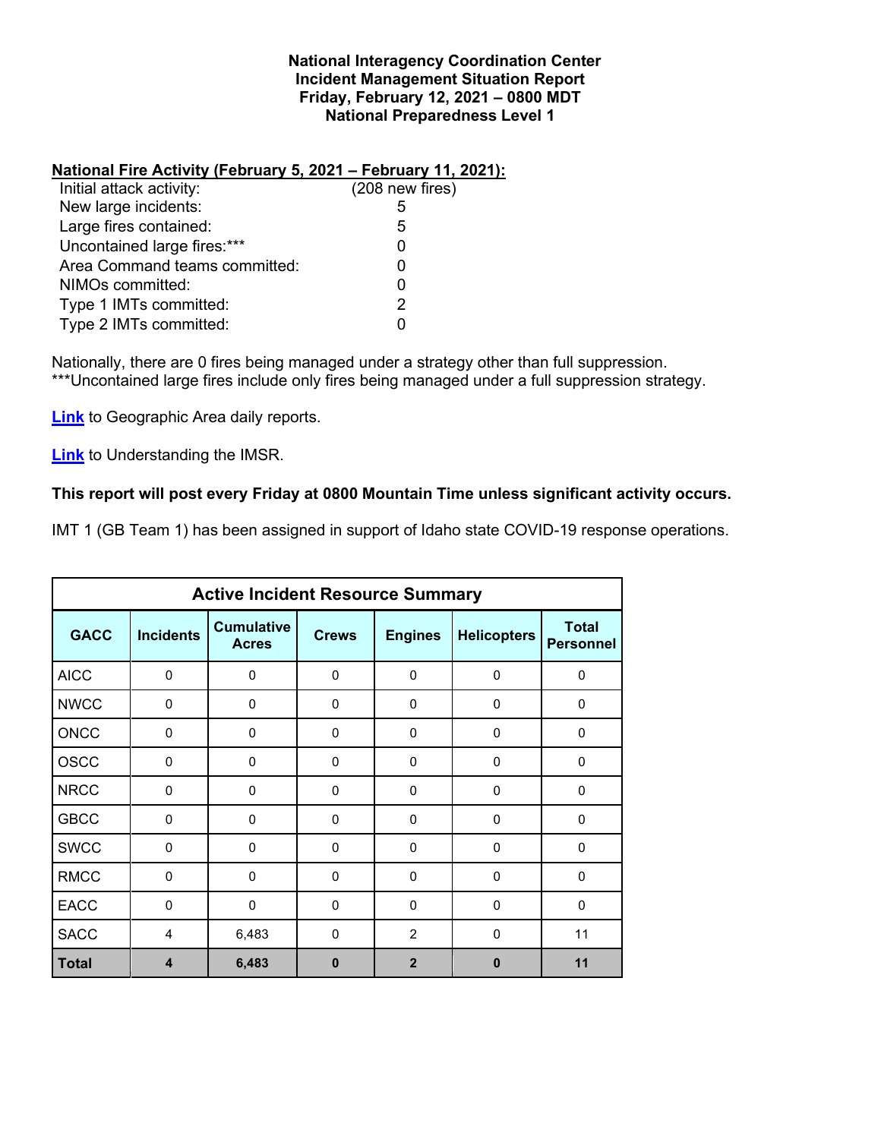### **National Interagency Coordination Center Incident Management Situation Report Friday, February 12, 2021 – 0800 MDT National Preparedness Level 1**

## **National Fire Activity (February 5, 2021 – February 11, 2021):**

| Initial attack activity:      | $(208$ new fires) |
|-------------------------------|-------------------|
| New large incidents:          | 5                 |
| Large fires contained:        | 5                 |
| Uncontained large fires:***   |                   |
| Area Command teams committed: |                   |
| NIMOs committed:              |                   |
| Type 1 IMTs committed:        | 2                 |
| Type 2 IMTs committed:        |                   |
|                               |                   |

Nationally, there are 0 fires being managed under a strategy other than full suppression. \*\*\*Uncontained large fires include only fires being managed under a full suppression strategy.

**[Link](http://www.nifc.gov/nicc/predictive/statelinks.htm)** to Geographic Area daily reports.

**[Link](https://www.predictiveservices.nifc.gov/intelligence/Understanding%20the%20IMSR%202019.pdf)** to Understanding the IMSR.

## **This report will post every Friday at 0800 Mountain Time unless significant activity occurs.**

IMT 1 (GB Team 1) has been assigned in support of Idaho state COVID-19 response operations.

| <b>Active Incident Resource Summary</b> |                  |                                   |              |                |                    |                                  |  |  |  |  |
|-----------------------------------------|------------------|-----------------------------------|--------------|----------------|--------------------|----------------------------------|--|--|--|--|
| <b>GACC</b>                             | <b>Incidents</b> | <b>Cumulative</b><br><b>Acres</b> | <b>Crews</b> | <b>Engines</b> | <b>Helicopters</b> | <b>Total</b><br><b>Personnel</b> |  |  |  |  |
| <b>AICC</b>                             | $\mathbf 0$      | 0                                 | $\Omega$     | $\mathbf{0}$   | $\mathbf 0$        | $\Omega$                         |  |  |  |  |
| <b>NWCC</b>                             | $\Omega$         | 0                                 | $\mathbf{0}$ | $\Omega$       | $\mathbf 0$        | $\Omega$                         |  |  |  |  |
| <b>ONCC</b>                             | $\Omega$         | 0                                 | $\mathbf{0}$ | 0              | $\mathbf 0$        | $\mathbf 0$                      |  |  |  |  |
| <b>OSCC</b>                             | $\Omega$         | 0                                 | 0            | 0              | 0                  | $\Omega$                         |  |  |  |  |
| <b>NRCC</b>                             | $\Omega$         | 0                                 | $\Omega$     | $\Omega$       | $\mathbf 0$        | $\Omega$                         |  |  |  |  |
| <b>GBCC</b>                             | $\Omega$         | 0                                 | $\Omega$     | $\Omega$       | $\Omega$           | $\Omega$                         |  |  |  |  |
| <b>SWCC</b>                             | $\Omega$         | 0                                 | $\Omega$     | $\Omega$       | $\mathbf 0$        | 0                                |  |  |  |  |
| <b>RMCC</b>                             | $\mathbf 0$      | 0                                 | $\mathbf{0}$ | 0              | $\mathbf 0$        | 0                                |  |  |  |  |
| <b>EACC</b>                             | $\Omega$         | 0                                 | $\Omega$     | $\Omega$       | $\Omega$           | $\Omega$                         |  |  |  |  |
| <b>SACC</b>                             | $\overline{4}$   | 6,483                             | $\Omega$     | $\overline{2}$ | $\Omega$           | 11                               |  |  |  |  |
| <b>Total</b>                            | 4                | 6,483                             | 0            | $\overline{2}$ | $\bf{0}$           | 11                               |  |  |  |  |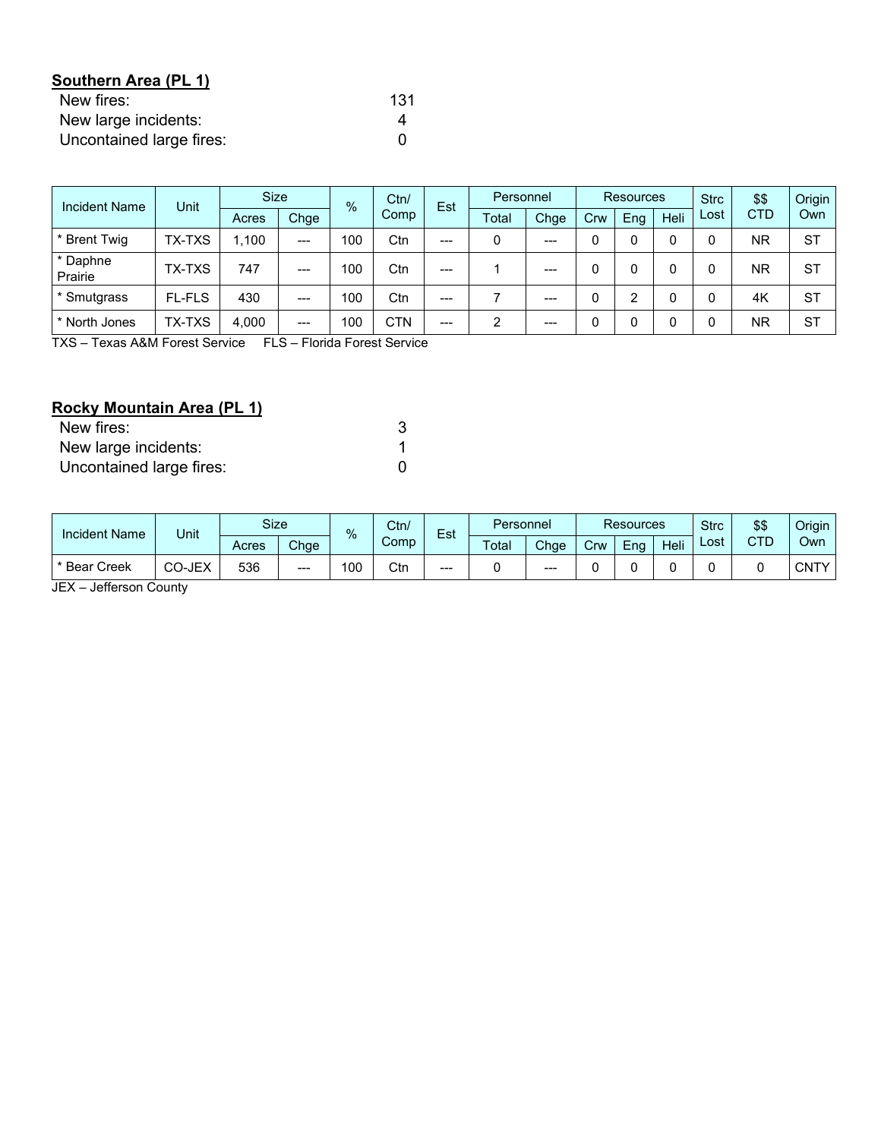| Southern Area (PL 1)     |     |
|--------------------------|-----|
| New fires:               | 131 |
| New large incidents:     |     |
| Uncontained large fires: |     |

| <b>Incident Name</b> | Unit          |       | <b>Size</b> |     | Ctn/<br>$\frac{0}{6}$ | Est     | Personnel |         | Resources |      |      | <b>Strc</b> | \$\$      | Origin    |
|----------------------|---------------|-------|-------------|-----|-----------------------|---------|-----------|---------|-----------|------|------|-------------|-----------|-----------|
|                      |               | Acres | Chge        |     | Comp                  | Total   | Chge      | Crw     | Eng       | Heli | Lost | <b>CTD</b>  | Own       |           |
| * Brent Twig         | <b>TX-TXS</b> | 1.100 | ---         | 100 | Ctn                   | $--$    |           | $---$   |           |      |      |             | <b>NR</b> | <b>ST</b> |
| * Daphne<br>Prairie  | <b>TX-TXS</b> | 747   | $---$       | 100 | Ctn                   | $--$    |           | $---$   |           |      |      |             | <b>NR</b> | <b>ST</b> |
| * Smutgrass          | <b>FL-FLS</b> | 430   | $- - -$     | 100 | Ctn                   | $- - -$ |           | $- - -$ | $\Omega$  | ◠    |      |             | 4K        | <b>ST</b> |
| * North Jones        | <b>TX-TXS</b> | 4,000 | ---         | 100 | <b>CTN</b>            | $--$    | 2         | $---$   |           |      |      |             | <b>NR</b> | <b>ST</b> |

TXS – Texas A&M Forest Service FLS – Florida Forest Service

# **Rocky Mountain Area (PL 1)**

| New fires:               |  |
|--------------------------|--|
| New large incidents:     |  |
| Uncontained large fires: |  |

| Incident Name     | Unit   | Size  |       |     | Ctn/<br>%<br>Comp |       |       |      |     |     |      |      |     |      |  |  |  |  |  |  |  |  |  |  | Est | Personnel |  |  | <b>Resources</b> |  | <b>Strc</b> | \$\$ | Origin |
|-------------------|--------|-------|-------|-----|-------------------|-------|-------|------|-----|-----|------|------|-----|------|--|--|--|--|--|--|--|--|--|--|-----|-----------|--|--|------------------|--|-------------|------|--------|
|                   |        | Acres | Chge  |     |                   |       | Total | Chge | Crw | Eng | Heli | Lost | CTD | Own  |  |  |  |  |  |  |  |  |  |  |     |           |  |  |                  |  |             |      |        |
| Creek<br>* Bear C | CO-JEX | 536   | $---$ | 100 | Ctn               | $---$ |       | ---  |     |     |      |      |     | CNTY |  |  |  |  |  |  |  |  |  |  |     |           |  |  |                  |  |             |      |        |

JEX – Jefferson County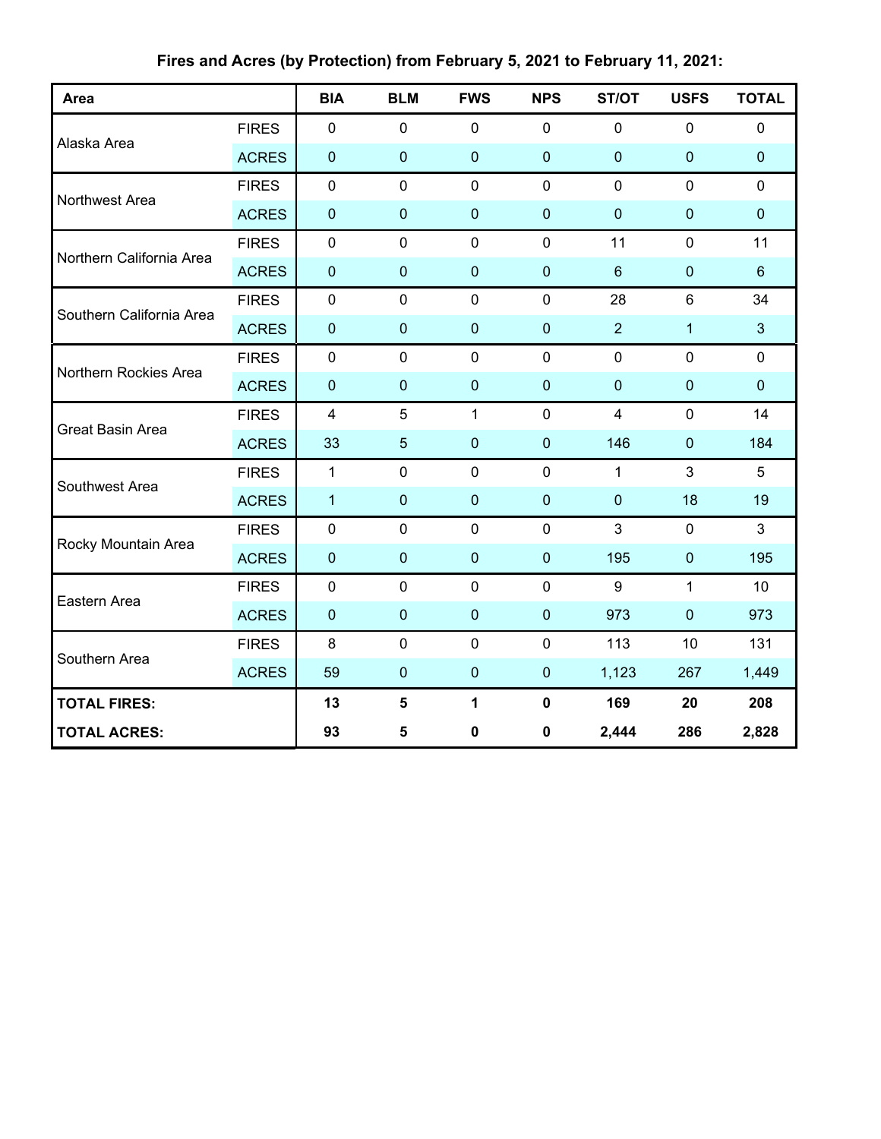| Area                     |              | <b>BIA</b>     | <b>BLM</b>     | <b>FWS</b>   | <b>NPS</b>   | ST/OT          | <b>USFS</b>    | <b>TOTAL</b>   |
|--------------------------|--------------|----------------|----------------|--------------|--------------|----------------|----------------|----------------|
|                          | <b>FIRES</b> | $\mathbf 0$    | $\mathbf 0$    | $\mathbf 0$  | $\mathbf 0$  | $\mathbf 0$    | $\mathbf 0$    | $\mathbf 0$    |
| Alaska Area              | <b>ACRES</b> | $\mathbf 0$    | $\mathbf 0$    | $\mathbf 0$  | $\mathbf 0$  | $\mathbf 0$    | $\mathbf 0$    | $\mathbf 0$    |
| Northwest Area           | <b>FIRES</b> | $\mathbf 0$    | $\mathbf 0$    | $\mathbf 0$  | $\mathbf 0$  | $\mathbf 0$    | $\mathbf 0$    | $\mathbf 0$    |
|                          | <b>ACRES</b> | $\mathbf 0$    | $\mathbf{0}$   | $\mathbf 0$  | $\mathbf 0$  | $\mathbf{0}$   | $\mathbf 0$    | $\pmb{0}$      |
| Northern California Area | <b>FIRES</b> | $\mathbf 0$    | $\mathbf 0$    | $\mathbf 0$  | $\mathbf 0$  | 11             | $\mathbf 0$    | 11             |
|                          | <b>ACRES</b> | $\mathbf 0$    | $\mathbf{0}$   | $\mathbf 0$  | $\mathbf 0$  | $6\phantom{1}$ | 0              | $6\phantom{1}$ |
| Southern California Area | <b>FIRES</b> | $\mathbf 0$    | $\mathbf 0$    | $\mathbf 0$  | $\mathbf 0$  | 28             | $\,6$          | 34             |
|                          | <b>ACRES</b> | $\mathbf 0$    | $\mathbf 0$    | $\mathbf 0$  | $\mathbf 0$  | $\overline{2}$ | $\mathbf{1}$   | 3              |
| Northern Rockies Area    | <b>FIRES</b> | $\mathbf 0$    | $\mathbf 0$    | $\mathbf 0$  | $\mathbf 0$  | $\mathbf 0$    | $\mathbf 0$    | $\mathbf 0$    |
|                          | <b>ACRES</b> | $\mathbf 0$    | $\mathbf{0}$   | $\mathbf 0$  | $\mathbf{0}$ | $\mathbf{0}$   | $\mathbf 0$    | $\mathbf 0$    |
| <b>Great Basin Area</b>  | <b>FIRES</b> | $\overline{4}$ | 5              | $\mathbf{1}$ | $\mathbf 0$  | $\overline{4}$ | $\mathbf 0$    | 14             |
|                          | <b>ACRES</b> | 33             | $\overline{5}$ | $\mathbf 0$  | $\mathbf 0$  | 146            | $\pmb{0}$      | 184            |
| Southwest Area           | <b>FIRES</b> | $\mathbf{1}$   | $\mathbf 0$    | $\mathbf 0$  | $\mathbf 0$  | $\mathbf{1}$   | $\mathfrak{S}$ | 5              |
|                          | <b>ACRES</b> | $\mathbf{1}$   | $\pmb{0}$      | $\mathbf 0$  | $\mathbf 0$  | $\mathbf 0$    | 18             | 19             |
|                          | <b>FIRES</b> | $\mathbf 0$    | $\mathbf 0$    | $\mathbf 0$  | $\mathbf 0$  | 3              | $\mathbf 0$    | 3              |
| Rocky Mountain Area      | <b>ACRES</b> | $\mathbf 0$    | $\mathbf 0$    | $\bf 0$      | $\pmb{0}$    | 195            | $\pmb{0}$      | 195            |
| Eastern Area             | <b>FIRES</b> | $\mathbf 0$    | $\mathbf 0$    | $\mathbf 0$  | $\mathbf 0$  | 9              | 1              | 10             |
|                          | <b>ACRES</b> | $\mathbf 0$    | $\mathbf 0$    | $\mathbf 0$  | $\mathbf 0$  | 973            | $\pmb{0}$      | 973            |
|                          | <b>FIRES</b> | 8              | $\mathbf 0$    | $\mathbf 0$  | $\mathbf 0$  | 113            | 10             | 131            |
| Southern Area            | <b>ACRES</b> | 59             | $\mathbf 0$    | $\mathbf 0$  | $\pmb{0}$    | 1,123          | 267            | 1,449          |
| <b>TOTAL FIRES:</b>      |              | 13             | $5\phantom{a}$ | 1            | $\mathbf 0$  | 169            | 20             | 208            |
| <b>TOTAL ACRES:</b>      |              | 93             | 5              | $\mathbf 0$  | $\pmb{0}$    | 2,444          | 286            | 2,828          |

**Fires and Acres (by Protection) from February 5, 2021 to February 11, 2021:**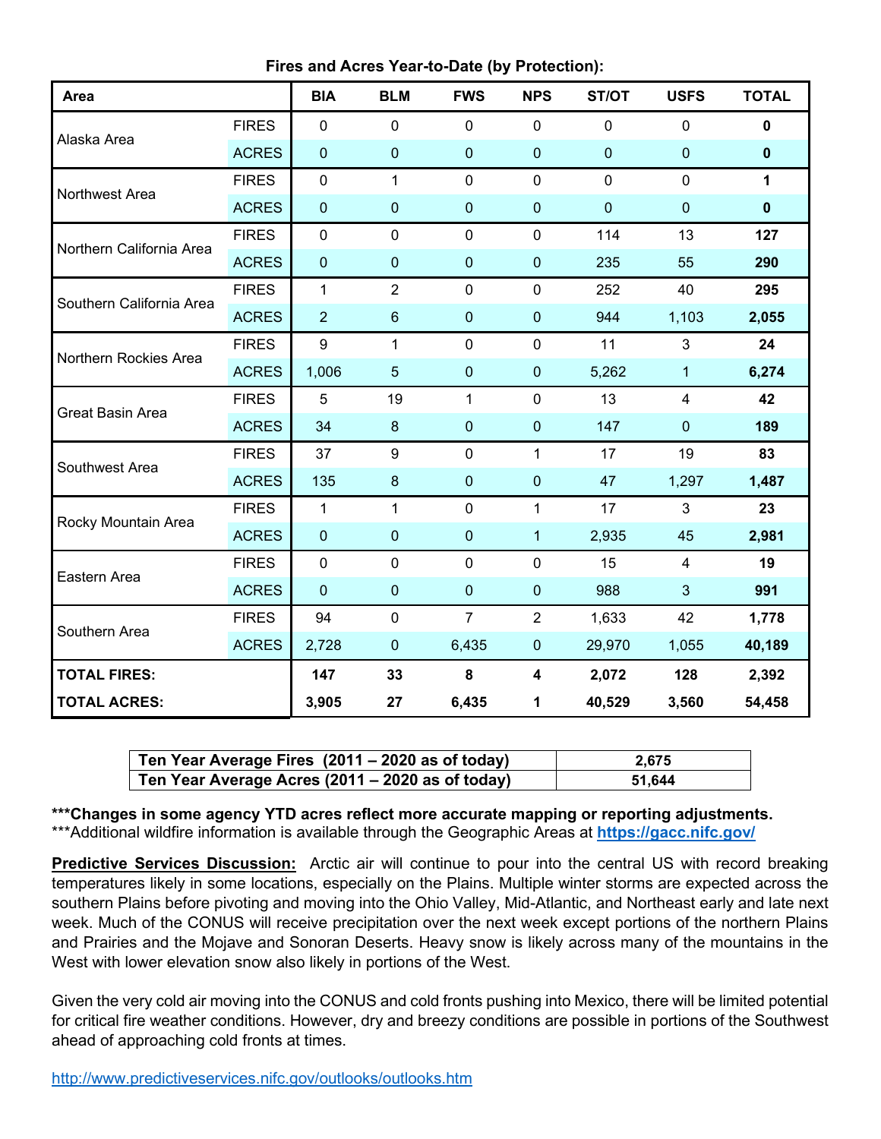| Area                     |              | <b>BIA</b>       | <b>BLM</b>       | <b>FWS</b>     | <b>NPS</b>       | ST/OT          | <b>USFS</b>             | <b>TOTAL</b> |
|--------------------------|--------------|------------------|------------------|----------------|------------------|----------------|-------------------------|--------------|
|                          | <b>FIRES</b> | $\mathbf 0$      | $\mathbf 0$      | $\pmb{0}$      | $\mathbf 0$      | $\mathbf 0$    | $\pmb{0}$               | $\pmb{0}$    |
| Alaska Area              | <b>ACRES</b> | $\boldsymbol{0}$ | $\pmb{0}$        | $\pmb{0}$      | $\boldsymbol{0}$ | $\mathbf 0$    | $\boldsymbol{0}$        | $\pmb{0}$    |
| Northwest Area           | <b>FIRES</b> | $\mathbf 0$      | $\mathbf{1}$     | $\mathbf 0$    | $\mathbf 0$      | $\overline{0}$ | $\mathbf 0$             | 1            |
|                          | <b>ACRES</b> | $\mathbf 0$      | $\pmb{0}$        | 0              | $\boldsymbol{0}$ | $\mathbf 0$    | $\mathbf 0$             | $\mathbf 0$  |
| Northern California Area | <b>FIRES</b> | $\mathbf 0$      | $\mathbf 0$      | $\mathbf 0$    | $\mathbf 0$      | 114            | 13                      | 127          |
|                          | <b>ACRES</b> | $\boldsymbol{0}$ | $\pmb{0}$        | 0              | $\boldsymbol{0}$ | 235            | 55                      | 290          |
| Southern California Area | <b>FIRES</b> | 1                | $\overline{2}$   | $\mathbf 0$    | $\mathbf 0$      | 252            | 40                      | 295          |
|                          | <b>ACRES</b> | $\overline{2}$   | $\,6\,$          | $\pmb{0}$      | $\pmb{0}$        | 944            | 1,103                   | 2,055        |
| Northern Rockies Area    | <b>FIRES</b> | 9                | $\mathbf{1}$     | $\mathbf 0$    | $\mathbf 0$      | 11             | 3                       | 24           |
|                          | <b>ACRES</b> | 1,006            | $\overline{5}$   | $\pmb{0}$      | $\mathbf 0$      | 5,262          | $\mathbf{1}$            | 6,274        |
| <b>Great Basin Area</b>  | <b>FIRES</b> | 5                | 19               | 1              | $\overline{0}$   | 13             | $\overline{\mathbf{4}}$ | 42           |
|                          | <b>ACRES</b> | 34               | $\bf 8$          | 0              | $\mathbf 0$      | 147            | $\mathbf 0$             | 189          |
| Southwest Area           | <b>FIRES</b> | 37               | $\boldsymbol{9}$ | $\mathbf 0$    | $\mathbf{1}$     | 17             | 19                      | 83           |
|                          | <b>ACRES</b> | 135              | $\bf 8$          | $\mathbf{0}$   | $\pmb{0}$        | 47             | 1,297                   | 1,487        |
| Rocky Mountain Area      | <b>FIRES</b> | $\mathbf{1}$     | $\mathbf{1}$     | $\mathbf 0$    | $\mathbf{1}$     | 17             | $\overline{3}$          | 23           |
|                          | <b>ACRES</b> | $\mathbf 0$      | $\pmb{0}$        | $\mathbf{0}$   | $\mathbf{1}$     | 2,935          | 45                      | 2,981        |
| Eastern Area             | <b>FIRES</b> | $\mathbf 0$      | $\mathbf 0$      | $\mathbf 0$    | $\mathbf 0$      | 15             | $\overline{4}$          | 19           |
|                          | <b>ACRES</b> | $\mathbf 0$      | $\pmb{0}$        | $\mathbf 0$    | $\boldsymbol{0}$ | 988            | $\overline{3}$          | 991          |
| Southern Area            | <b>FIRES</b> | 94               | $\mathbf 0$      | $\overline{7}$ | $\overline{2}$   | 1,633          | 42                      | 1,778        |
|                          | <b>ACRES</b> | 2,728            | $\pmb{0}$        | 6,435          | $\pmb{0}$        | 29,970         | 1,055                   | 40,189       |
| <b>TOTAL FIRES:</b>      |              | 147              | 33               | 8              | 4                | 2,072          | 128                     | 2,392        |
| <b>TOTAL ACRES:</b>      |              | 3,905            | 27               | 6,435          | 1                | 40,529         | 3,560                   | 54,458       |

| Ten Year Average Fires (2011 – 2020 as of today) | 2.675  |
|--------------------------------------------------|--------|
| Ten Year Average Acres (2011 – 2020 as of today) | 51.644 |

**\*\*\*Changes in some agency YTD acres reflect more accurate mapping or reporting adjustments.** \*\*\*Additional wildfire information is available through the Geographic Areas at **<https://gacc.nifc.gov/>**

**Predictive Services Discussion:** Arctic air will continue to pour into the central US with record breaking temperatures likely in some locations, especially on the Plains. Multiple winter storms are expected across the southern Plains before pivoting and moving into the Ohio Valley, Mid-Atlantic, and Northeast early and late next week. Much of the CONUS will receive precipitation over the next week except portions of the northern Plains and Prairies and the Mojave and Sonoran Deserts. Heavy snow is likely across many of the mountains in the West with lower elevation snow also likely in portions of the West.

Given the very cold air moving into the CONUS and cold fronts pushing into Mexico, there will be limited potential for critical fire weather conditions. However, dry and breezy conditions are possible in portions of the Southwest ahead of approaching cold fronts at times.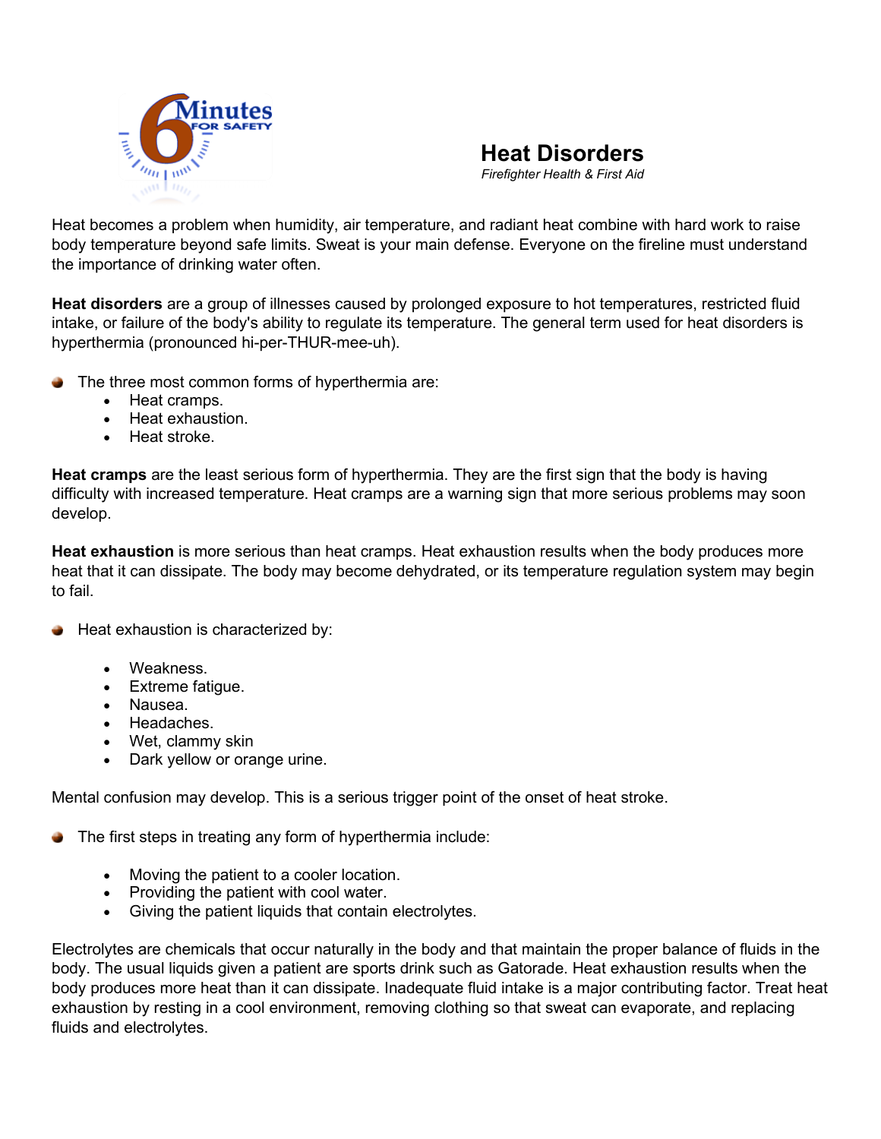



Heat bec[omes a problem when](http://www.nwcg.gov/committees/6-Minutes-for-safety) humidity, air temperature, and radiant heat combine with hard work to raise body temperature beyond safe limits. Sweat is your main defense. Everyone on the fireline must understand the importance of drinking water often.

**Heat disorders** are a group of illnesses caused by prolonged exposure to hot temperatures, restricted fluid intake, or failure of the body's ability to regulate its temperature. The general term used for heat disorders is hyperthermia (pronounced hi-per-THUR-mee-uh).

- The three most common forms of hyperthermia are:
	- Heat cramps.
	- Heat exhaustion.
	- Heat stroke.

**Heat cramps** are the least serious form of hyperthermia. They are the first sign that the body is having difficulty with increased temperature. Heat cramps are a warning sign that more serious problems may soon develop.

**Heat exhaustion** is more serious than heat cramps. Heat exhaustion results when the body produces more heat that it can dissipate. The body may become dehydrated, or its temperature regulation system may begin to fail.

- Heat exhaustion is characterized by:
	- Weakness.
	- Extreme fatigue.
	- Nausea.
	- Headaches.
	- Wet, clammy skin
	- Dark yellow or orange urine.

Mental confusion may develop. This is a serious trigger point of the onset of heat stroke.

The first steps in treating any form of hyperthermia include:

- Moving the patient to a cooler location.
- Providing the patient with cool water.
- Giving the patient liquids that contain electrolytes.

Electrolytes are chemicals that occur naturally in the body and that maintain the proper balance of fluids in the body. The usual liquids given a patient are sports drink such as Gatorade. Heat exhaustion results when the body produces more heat than it can dissipate. Inadequate fluid intake is a major contributing factor. Treat heat exhaustion by resting in a cool environment, removing clothing so that sweat can evaporate, and replacing fluids and electrolytes.